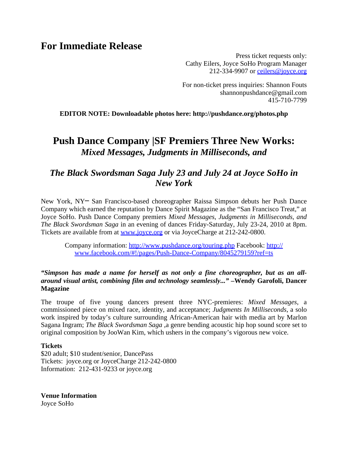## **For Immediate Release**

Press ticket requests only: Cathy Eilers, Joyce SoHo Program Manager 212-334-9907 or ceilers@joyce.org

For non-ticket press inquiries: Shannon Fouts shannonpushdance@gmail.com 415-710-7799

**EDITOR NOTE: Downloadable photos here: http://pushdance.org/photos.php**

# **Push Dance Company |SF Premiers Three New Works:** *Mixed Messages, Judgments in Milliseconds, and*

### *The Black Swordsman Saga July 23 and July 24 at Joyce SoHo in New York*

New York, NY─ San Francisco-based choreographer Raissa Simpson debuts her Push Dance Company which earned the reputation by Dance Spirit Magazine as the "San Francisco Treat," at Joyce SoHo. Push Dance Company premiers *Mixed Messages, Judgments in Milliseconds, and The Black Swordsman Saga* in an evening of dances Friday-Saturday, July 23-24, 2010 at 8pm. Tickets are available from at www.joyce.org or via JoyceCharge at 212-242-0800.

Company information: http://www.pushdance.org/touring.php Facebook: http:// www.facebook.com/#!/pages/Push-Dance-Company/8045279159?ref=ts

#### *"Simpson has made a name for herself as not only a fine choreographer, but as an allaround visual artist, combining film and technology seamlessly..."* **–Wendy Garofoli, Dancer Magazine**

The troupe of five young dancers present three NYC-premieres: *Mixed Messages*, a commissioned piece on mixed race, identity, and acceptance; *Judgments In Milliseconds*, a solo work inspired by today's culture surrounding African-American hair with media art by Marlon Sagana Ingram; *The Black Swordsman Saga* ,a genre bending acoustic hip hop sound score set to original composition by JooWan Kim, which ushers in the company's vigorous new voice.

#### **Tickets**

\$20 adult; \$10 student/senior, DancePass Tickets: joyce.org or JoyceCharge 212-242-0800 Information: 212-431-9233 or joyce.org

**Venue Information** Joyce SoHo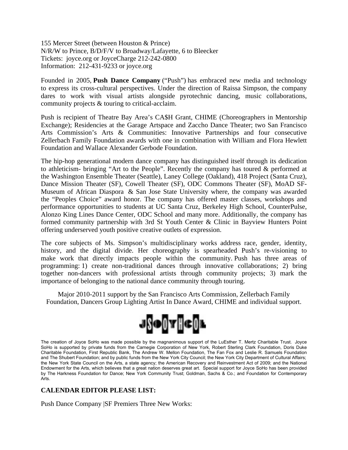155 Mercer Street (between Houston & Prince) N/R/W to Prince, B/D/F/V to Broadway/Lafayette, 6 to Bleecker Tickets: joyce.org or JoyceCharge 212-242-0800 Information: 212-431-9233 or joyce.org

Founded in 2005, **Push Dance Company** ("Push") has embraced new media and technology to express its cross-cultural perspectives. Under the direction of Raissa Simpson, the company dares to work with visual artists alongside pyrotechnic dancing, music collaborations, community projects & touring to critical-acclaim.

Push is recipient of Theatre Bay Area's CA\$H Grant, CHIME (Choreographers in Mentorship Exchange); Residencies at the Garage Artspace and Zaccho Dance Theater; two San Francisco Arts Commission's Arts & Communities: Innovative Partnerships and four consecutive Zellerbach Family Foundation awards with one in combination with William and Flora Hewlett Foundation and Wallace Alexander Gerbode Foundation.

The hip-hop generational modern dance company has distinguished itself through its dedication to athleticism- bringing "Art to the People". Recently the company has toured & performed at the Washington Ensemble Theater (Seattle), Laney College (Oakland), 418 Project (Santa Cruz), Dance Mission Theater (SF), Cowell Theater (SF), ODC Commons Theater (SF), MoAD SF-Museum of African Diaspora & San Jose State University where, the company was awarded the "Peoples Choice" award honor. The company has offered master classes, workshops and performance opportunities to students at UC Santa Cruz, Berkeley High School, CounterPulse, Alonzo King Lines Dance Center, ODC School and many more. Additionally, the company has formed community partnership with 3rd St Youth Center & Clinic in Bayview Hunters Point offering underserved youth positive creative outlets of expression.

The core subjects of Ms. Simpson's multidisciplinary works address race, gender, identity, history, and the digital divide. Her choreography is spearheaded Push's re-visioning to make work that directly impacts people within the community. Push has three areas of programming: 1) create non-traditional dances through innovative collaborations; 2) bring together non-dancers with professional artists through community projects; 3) mark the importance of belonging to the national dance community through touring.

Major 2010-2011 support by the San Francisco Arts Commission, Zellerbach Family Foundation, Dancers Group Lighting Artist In Dance Award, CHIME and individual support.



The creation of Joyce SoHo was made possible by the magnanimous support of the LuEsther T. Mertz Charitable Trust. Joyce SoHo is supported by private funds from the Carnegie Corporation of New York, Robert Sterling Clark Foundation, Doris Duke Charitable Foundation, First Republic Bank, The Andrew W. Mellon Foundation, The Fan Fox and Leslie R. Samuels Foundation and The Shubert Foundation; and by public funds from the New York City Council; the New York City Department of Cultural Affairs; the New York State Council on the Arts, a state agency; the American Recovery and Reinvestment Act of 2009; and the National Endowment for the Arts, which believes that a great nation deserves great art. Special support for Joyce SoHo has been provided by The Harkness Foundation for Dance; New York Community Trust; Goldman, Sachs & Co.; and Foundation for Contemporary Arts.

### **CALENDAR EDITOR PLEASE LIST:**

Push Dance Company |SF Premiers Three New Works: